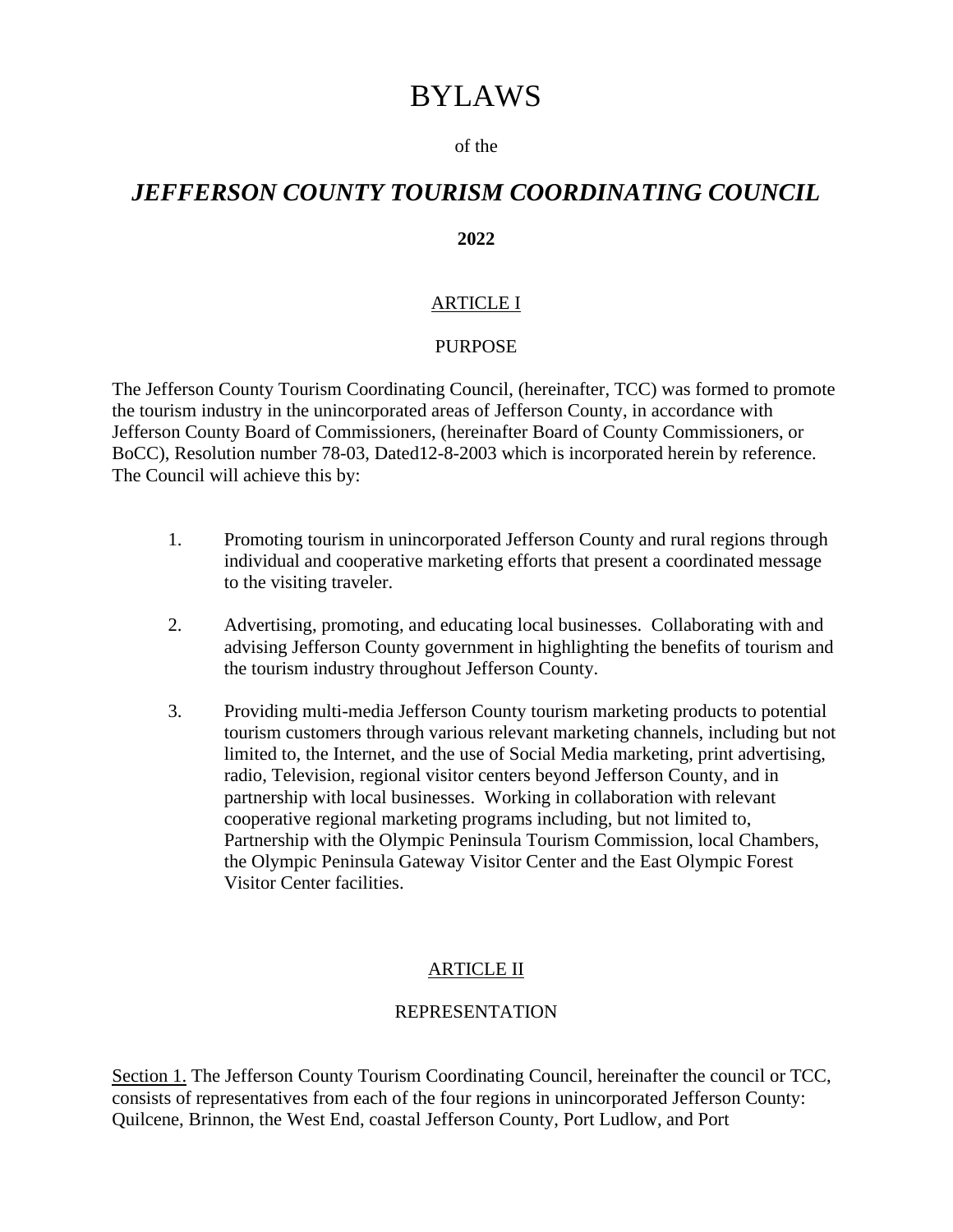# BYLAWS

#### of the

# *JEFFERSON COUNTY TOURISM COORDINATING COUNCIL*

#### **2022**

#### ARTICLE I

#### PURPOSE

The Jefferson County Tourism Coordinating Council, (hereinafter, TCC) was formed to promote the tourism industry in the unincorporated areas of Jefferson County, in accordance with Jefferson County Board of Commissioners, (hereinafter Board of County Commissioners, or BoCC), Resolution number 78-03, Dated12-8-2003 which is incorporated herein by reference. The Council will achieve this by:

- 1. Promoting tourism in unincorporated Jefferson County and rural regions through individual and cooperative marketing efforts that present a coordinated message to the visiting traveler.
- 2. Advertising, promoting, and educating local businesses. Collaborating with and advising Jefferson County government in highlighting the benefits of tourism and the tourism industry throughout Jefferson County.
- 3. Providing multi-media Jefferson County tourism marketing products to potential tourism customers through various relevant marketing channels, including but not limited to, the Internet, and the use of Social Media marketing, print advertising, radio, Television, regional visitor centers beyond Jefferson County, and in partnership with local businesses. Working in collaboration with relevant cooperative regional marketing programs including, but not limited to, Partnership with the Olympic Peninsula Tourism Commission, local Chambers, the Olympic Peninsula Gateway Visitor Center and the East Olympic Forest Visitor Center facilities.

#### ARTICLE II

#### REPRESENTATION

Section 1. The Jefferson County Tourism Coordinating Council, hereinafter the council or TCC, consists of representatives from each of the four regions in unincorporated Jefferson County: Quilcene, Brinnon, the West End, coastal Jefferson County, Port Ludlow, and Port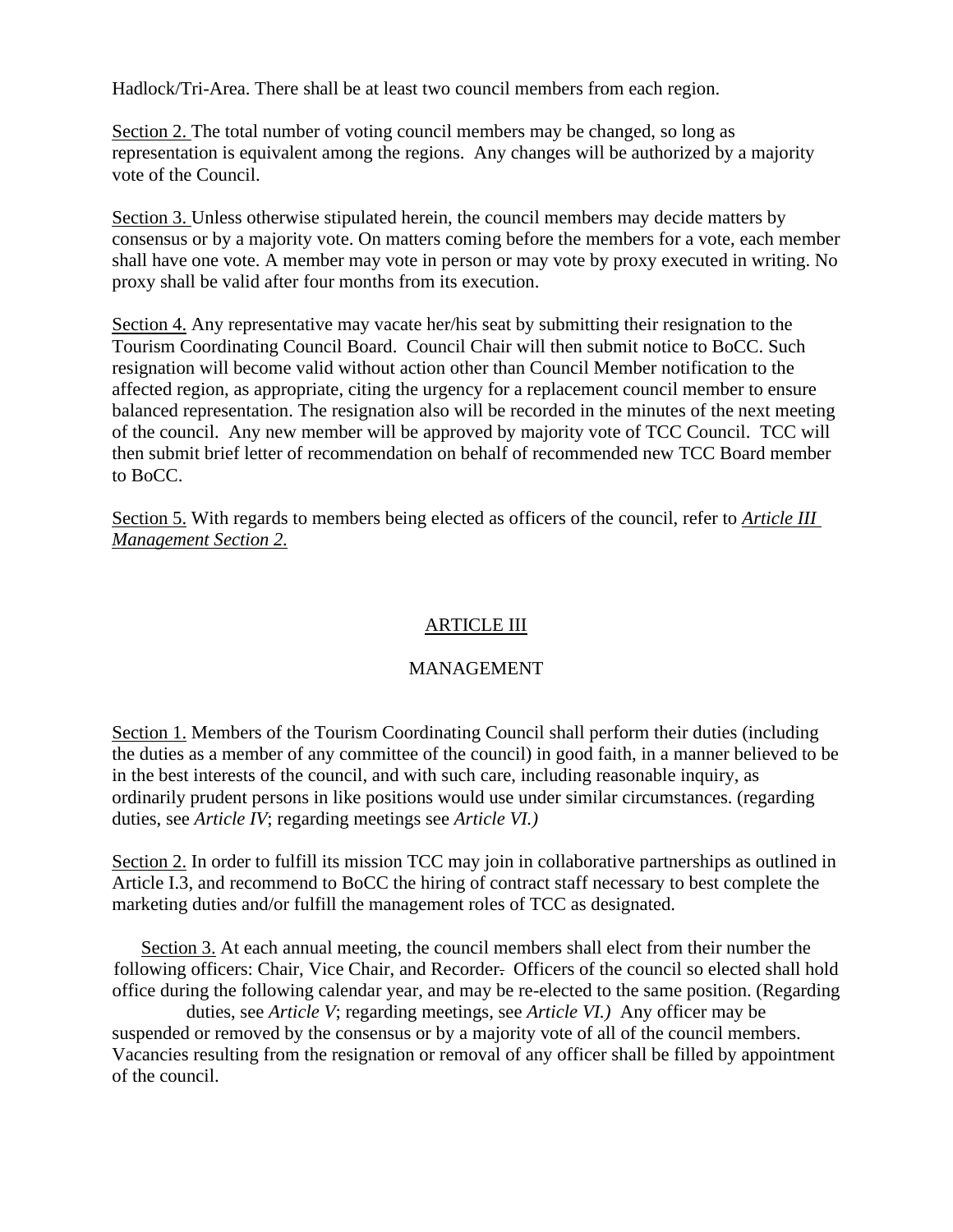Hadlock/Tri-Area. There shall be at least two council members from each region.

Section 2. The total number of voting council members may be changed, so long as representation is equivalent among the regions. Any changes will be authorized by a majority vote of the Council.

Section 3. Unless otherwise stipulated herein, the council members may decide matters by consensus or by a majority vote. On matters coming before the members for a vote, each member shall have one vote. A member may vote in person or may vote by proxy executed in writing. No proxy shall be valid after four months from its execution.

Section 4. Any representative may vacate her/his seat by submitting their resignation to the Tourism Coordinating Council Board. Council Chair will then submit notice to BoCC. Such resignation will become valid without action other than Council Member notification to the affected region, as appropriate, citing the urgency for a replacement council member to ensure balanced representation. The resignation also will be recorded in the minutes of the next meeting of the council. Any new member will be approved by majority vote of TCC Council. TCC will then submit brief letter of recommendation on behalf of recommended new TCC Board member to BoCC.

Section 5. With regards to members being elected as officers of the council, refer to *Article III Management Section 2.*

## ARTICLE III

### MANAGEMENT

Section 1. Members of the Tourism Coordinating Council shall perform their duties (including the duties as a member of any committee of the council) in good faith, in a manner believed to be in the best interests of the council, and with such care, including reasonable inquiry, as ordinarily prudent persons in like positions would use under similar circumstances. (regarding duties, see *Article IV*; regarding meetings see *Article VI.)*

Section 2. In order to fulfill its mission TCC may join in collaborative partnerships as outlined in Article I.3, and recommend to BoCC the hiring of contract staff necessary to best complete the marketing duties and/or fulfill the management roles of TCC as designated.

Section 3. At each annual meeting, the council members shall elect from their number the following officers: Chair, Vice Chair, and Recorder. Officers of the council so elected shall hold office during the following calendar year, and may be re-elected to the same position. (Regarding duties, see *Article V*; regarding meetings, see *Article VI.)* Any officer may be suspended or removed by the consensus or by a majority vote of all of the council members. Vacancies resulting from the resignation or removal of any officer shall be filled by appointment of the council.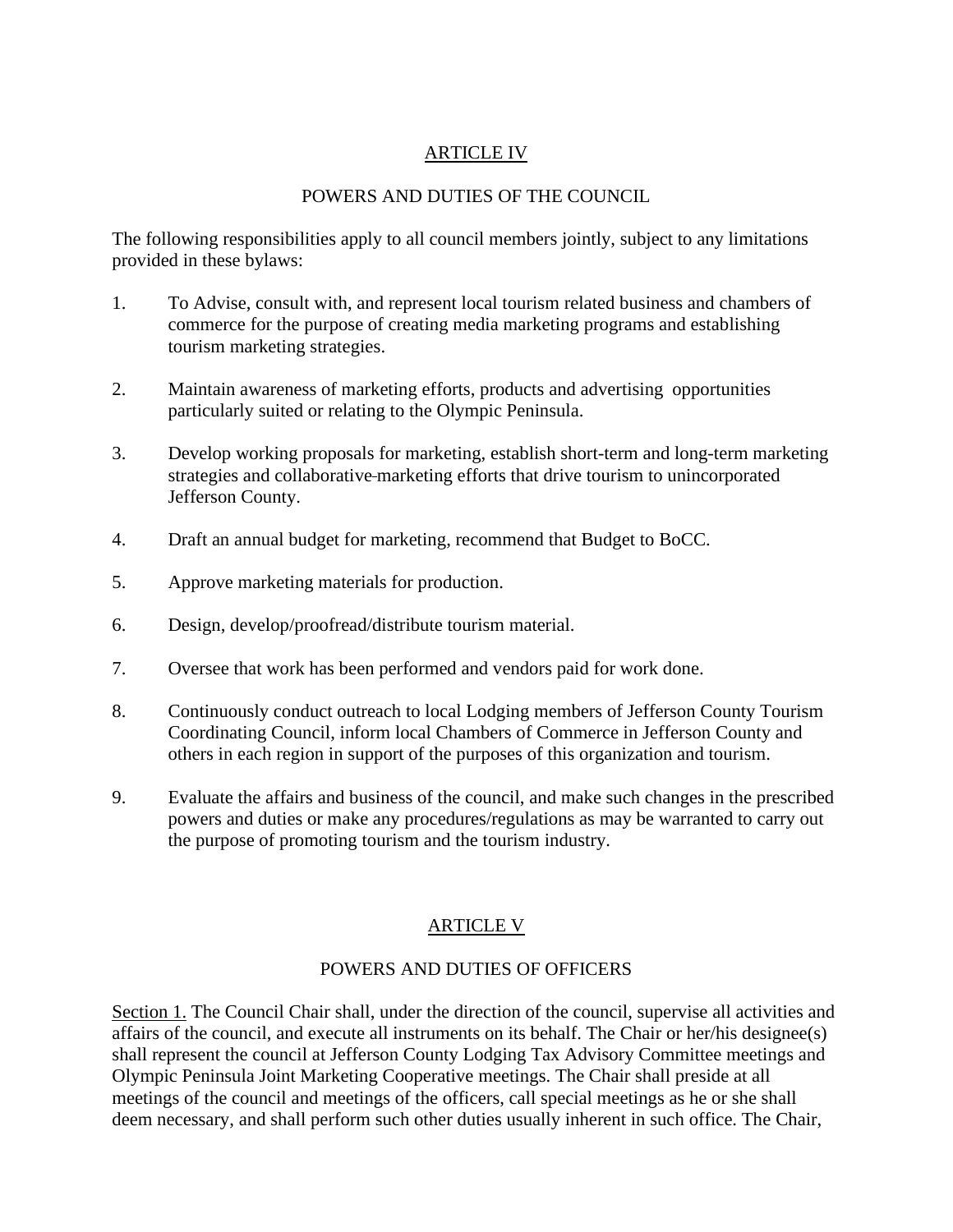### ARTICLE IV

## POWERS AND DUTIES OF THE COUNCIL

The following responsibilities apply to all council members jointly, subject to any limitations provided in these bylaws:

- 1. To Advise, consult with, and represent local tourism related business and chambers of commerce for the purpose of creating media marketing programs and establishing tourism marketing strategies.
- 2. Maintain awareness of marketing efforts, products and advertising opportunities particularly suited or relating to the Olympic Peninsula.
- 3. Develop working proposals for marketing, establish short-term and long-term marketing strategies and collaborative marketing efforts that drive tourism to unincorporated Jefferson County.
- 4. Draft an annual budget for marketing, recommend that Budget to BoCC.
- 5. Approve marketing materials for production.
- 6. Design, develop/proofread/distribute tourism material.
- 7. Oversee that work has been performed and vendors paid for work done.
- 8. Continuously conduct outreach to local Lodging members of Jefferson County Tourism Coordinating Council, inform local Chambers of Commerce in Jefferson County and others in each region in support of the purposes of this organization and tourism.
- 9. Evaluate the affairs and business of the council, and make such changes in the prescribed powers and duties or make any procedures/regulations as may be warranted to carry out the purpose of promoting tourism and the tourism industry.

### ARTICLE V

### POWERS AND DUTIES OF OFFICERS

Section 1. The Council Chair shall, under the direction of the council, supervise all activities and affairs of the council, and execute all instruments on its behalf. The Chair or her/his designee(s) shall represent the council at Jefferson County Lodging Tax Advisory Committee meetings and Olympic Peninsula Joint Marketing Cooperative meetings. The Chair shall preside at all meetings of the council and meetings of the officers, call special meetings as he or she shall deem necessary, and shall perform such other duties usually inherent in such office. The Chair,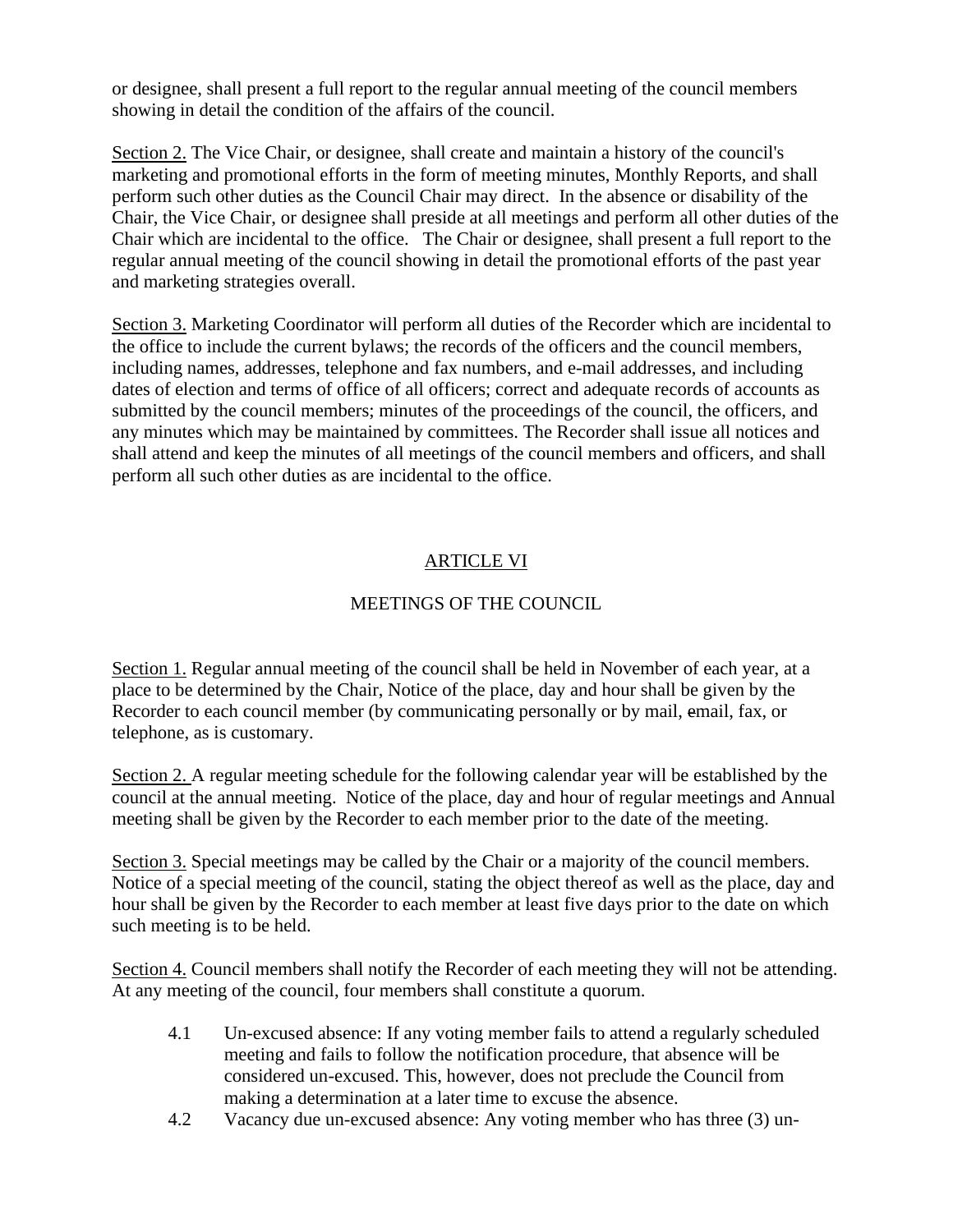or designee, shall present a full report to the regular annual meeting of the council members showing in detail the condition of the affairs of the council.

Section 2. The Vice Chair, or designee, shall create and maintain a history of the council's marketing and promotional efforts in the form of meeting minutes, Monthly Reports, and shall perform such other duties as the Council Chair may direct. In the absence or disability of the Chair, the Vice Chair, or designee shall preside at all meetings and perform all other duties of the Chair which are incidental to the office. The Chair or designee, shall present a full report to the regular annual meeting of the council showing in detail the promotional efforts of the past year and marketing strategies overall.

Section 3. Marketing Coordinator will perform all duties of the Recorder which are incidental to the office to include the current bylaws; the records of the officers and the council members, including names, addresses, telephone and fax numbers, and e-mail addresses, and including dates of election and terms of office of all officers; correct and adequate records of accounts as submitted by the council members; minutes of the proceedings of the council, the officers, and any minutes which may be maintained by committees. The Recorder shall issue all notices and shall attend and keep the minutes of all meetings of the council members and officers, and shall perform all such other duties as are incidental to the office.

# ARTICLE VI

## MEETINGS OF THE COUNCIL

Section 1. Regular annual meeting of the council shall be held in November of each year, at a place to be determined by the Chair, Notice of the place, day and hour shall be given by the Recorder to each council member (by communicating personally or by mail, email, fax, or telephone, as is customary.

Section 2. A regular meeting schedule for the following calendar year will be established by the council at the annual meeting. Notice of the place, day and hour of regular meetings and Annual meeting shall be given by the Recorder to each member prior to the date of the meeting.

Section 3. Special meetings may be called by the Chair or a majority of the council members. Notice of a special meeting of the council, stating the object thereof as well as the place, day and hour shall be given by the Recorder to each member at least five days prior to the date on which such meeting is to be held.

Section 4. Council members shall notify the Recorder of each meeting they will not be attending. At any meeting of the council, four members shall constitute a quorum.

- 4.1 Un-excused absence: If any voting member fails to attend a regularly scheduled meeting and fails to follow the notification procedure, that absence will be considered un-excused. This, however, does not preclude the Council from making a determination at a later time to excuse the absence.
- 4.2 Vacancy due un-excused absence: Any voting member who has three (3) un-